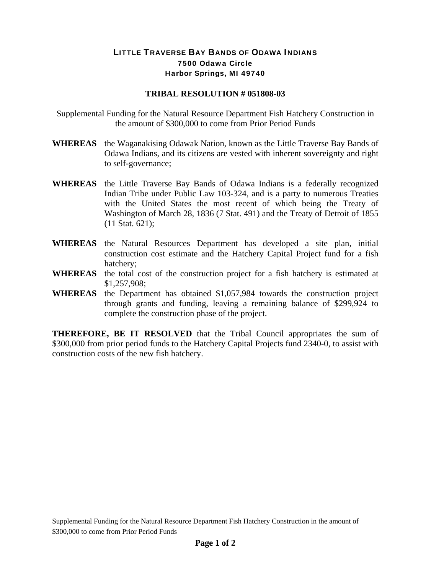## LITTLE TRAVERSE BAY BANDS OF ODAWA INDIANS 7500 Odawa Circle Harbor Springs, MI 49740

## **TRIBAL RESOLUTION # 051808-03**

Supplemental Funding for the Natural Resource Department Fish Hatchery Construction in the amount of \$300,000 to come from Prior Period Funds

- **WHEREAS** the Waganakising Odawak Nation, known as the Little Traverse Bay Bands of Odawa Indians, and its citizens are vested with inherent sovereignty and right to self-governance;
- **WHEREAS** the Little Traverse Bay Bands of Odawa Indians is a federally recognized Indian Tribe under Public Law 103-324, and is a party to numerous Treaties with the United States the most recent of which being the Treaty of Washington of March 28, 1836 (7 Stat. 491) and the Treaty of Detroit of 1855 (11 Stat. 621);
- **WHEREAS** the Natural Resources Department has developed a site plan, initial construction cost estimate and the Hatchery Capital Project fund for a fish hatchery;
- **WHEREAS** the total cost of the construction project for a fish hatchery is estimated at \$1,257,908;
- **WHEREAS** the Department has obtained \$1,057,984 towards the construction project through grants and funding, leaving a remaining balance of \$299,924 to complete the construction phase of the project.

**THEREFORE, BE IT RESOLVED** that the Tribal Council appropriates the sum of \$300,000 from prior period funds to the Hatchery Capital Projects fund 2340-0, to assist with construction costs of the new fish hatchery.